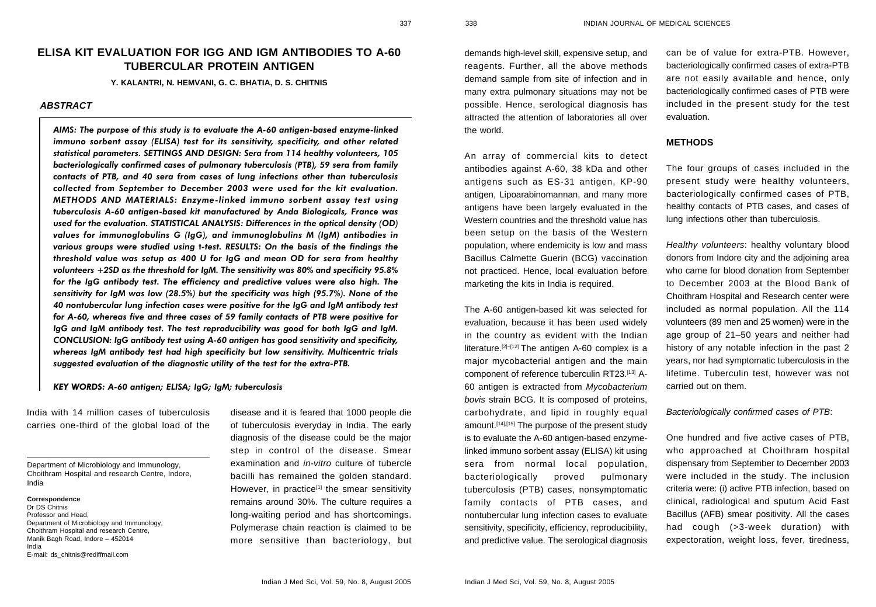# **ELISA KIT EVALUATION FOR IGG AND IGM ANTIBODIES TO A-60 TUBERCULAR PROTEIN ANTIGEN**

**Y. KALANTRI, N. HEMVANI, G. C. BHATIA, D. S. CHITNIS**

# *ABSTRACT*

AIMS: The purpose of this study is to evaluate the A-60 antigen-based enzyme-linked immuno sorbent assay (ELISA) test for its sensitivity, specificity, and other related statistical parameters. SETTINGS AND DESIGN: Sera from 114 healthy volunteers, 105 bacteriologically confirmed cases of pulmonary tuberculosis (PTB), 59 sera from family contacts of PTB, and 40 sera from cases of lung infections other than tuberculosis collected from September to December 2003 were used for the kit evaluation. METHODS AND MATERIALS: Enzyme-linked immuno sorbent assay test using tuberculosis A-60 antigen-based kit manufactured by Anda Biologicals, France was used for the evaluation. STATISTICAL ANALYSIS: Differences in the optical density (OD) values for immunoglobulins G (IgG), and immunoglobulins M (IgM) antibodies in various groups were studied using t-test. RESULTS: On the basis of the findings the threshold value was setup as 400 U for IgG and mean OD for sera from healthy volunteers +2SD as the threshold for IgM. The sensitivity was 80% and specificity 95.8% for the IgG antibody test. The efficiency and predictive values were also high. The sensitivity for IgM was low (28.5%) but the specificity was high (95.7%). None of the 40 nontubercular lung infection cases were positive for the IgG and IgM antibody test for A-60, whereas five and three cases of 59 family contacts of PTB were positive for IgG and IgM antibody test. The test reproducibility was good for both IgG and IgM. CONCLUSION: IgG antibody test using A-60 antigen has good sensitivity and specificity, whereas IgM antibody test had high specificity but low sensitivity. Multicentric trials suggested evaluation of the diagnostic utility of the test for the extra-PTB.

KEY WORDS: A-60 antigen; ELISA; IgG; IgM; tuberculosis

India with 14 million cases of tuberculosis carries one-third of the global load of the

**Correspondence** Dr DS Chitnis Professor and Head, Department of Microbiology and Immunology, Choithram Hospital and research Centre, Manik Bagh Road, Indore – 452014 India E-mail: ds\_chitnis@rediffmail.com

disease and it is feared that 1000 people die of tuberculosis everyday in India. The early diagnosis of the disease could be the major step in control of the disease. Smear examination and in-vitro culture of tubercle bacilli has remained the golden standard. However, in practice<sup>[1]</sup> the smear sensitivity remains around 30%. The culture requires a long-waiting period and has shortcomings. Polymerase chain reaction is claimed to be more sensitive than bacteriology, but demands high-level skill, expensive setup, and reagents. Further, all the above methods demand sample from site of infection and in many extra pulmonary situations may not be possible. Hence, serological diagnosis has attracted the attention of laboratories all over the world.

An array of commercial kits to detect antibodies against A-60, 38 kDa and other antigens such as ES-31 antigen, KP-90 antigen, Lipoarabinomannan, and many more antigens have been largely evaluated in the Western countries and the threshold value has been setup on the basis of the Western population, where endemicity is low and mass Bacillus Calmette Guerin (BCG) vaccination not practiced. Hence, local evaluation before marketing the kits in India is required.

The A-60 antigen-based kit was selected for evaluation, because it has been used widely in the country as evident with the Indian literature.<sup>[2]–[12]</sup> The antigen A-60 complex is a major mycobacterial antigen and the main component of reference tuberculin RT23.[13] A-60 antigen is extracted from Mycobacterium bovis strain BCG. It is composed of proteins, carbohydrate, and lipid in roughly equal amount.[14],[15] The purpose of the present study is to evaluate the A-60 antigen-based enzymelinked immuno sorbent assay (ELISA) kit using sera from normal local population, bacteriologically proved pulmonary tuberculosis (PTB) cases, nonsymptomatic family contacts of PTB cases, and nontubercular lung infection cases to evaluate sensitivity, specificity, efficiency, reproducibility, and predictive value. The serological diagnosis can be of value for extra-PTB. However, bacteriologically confirmed cases of extra-PTB are not easily available and hence, only bacteriologically confirmed cases of PTB were included in the present study for the test evaluation.

#### **METHODS**

The four groups of cases included in the present study were healthy volunteers, bacteriologically confirmed cases of PTB, healthy contacts of PTB cases, and cases of lung infections other than tuberculosis.

Healthy volunteers: healthy voluntary blood donors from Indore city and the adjoining area who came for blood donation from September to December 2003 at the Blood Bank of Choithram Hospital and Research center were included as normal population. All the 114 volunteers (89 men and 25 women) were in the age group of 21–50 years and neither had history of any notable infection in the past 2 years, nor had symptomatic tuberculosis in the lifetime. Tuberculin test, however was not carried out on them.

## Bacteriologically confirmed cases of PTB:

One hundred and five active cases of PTB, who approached at Choithram hospital dispensary from September to December 2003 were included in the study. The inclusion criteria were: (i) active PTB infection, based on clinical, radiological and sputum Acid Fast Bacillus (AFB) smear positivity. All the cases had cough (>3-week duration) with expectoration, weight loss, fever, tiredness,

Department of Microbiology and Immunology, Choithram Hospital and research Centre, Indore, India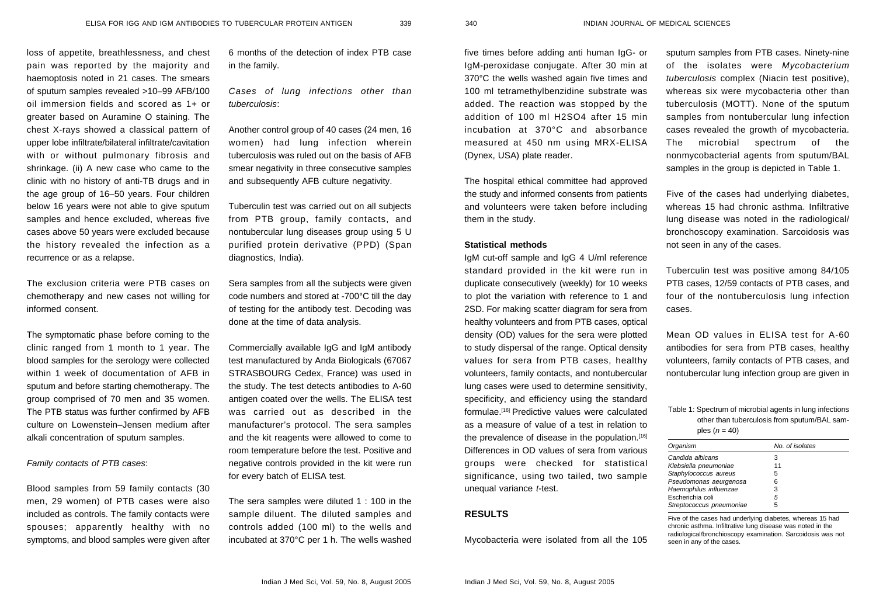339 340

loss of appetite, breathlessness, and chest pain was reported by the majority and haemoptosis noted in 21 cases. The smears of sputum samples revealed >10–99 AFB/100 oil immersion fields and scored as 1+ or greater based on Auramine O staining. The chest X-rays showed a classical pattern of upper lobe infiltrate/bilateral infiltrate/cavitation with or without pulmonary fibrosis and shrinkage. (ii) A new case who came to the clinic with no history of anti-TB drugs and in the age group of 16–50 years. Four children below 16 years were not able to give sputum samples and hence excluded, whereas five cases above 50 years were excluded because the history revealed the infection as a recurrence or as a relapse.

The exclusion criteria were PTB cases on chemotherapy and new cases not willing for informed consent.

The symptomatic phase before coming to the clinic ranged from 1 month to 1 year. The blood samples for the serology were collected within 1 week of documentation of AFB in sputum and before starting chemotherapy. The group comprised of 70 men and 35 women. The PTB status was further confirmed by AFB culture on Lowenstein–Jensen medium after alkali concentration of sputum samples.

## Family contacts of PTB cases:

Blood samples from 59 family contacts (30 men, 29 women) of PTB cases were also included as controls. The family contacts were spouses; apparently healthy with no symptoms, and blood samples were given after 6 months of the detection of index PTB case in the family.

Cases of lung infections other than tuberculosis:

Another control group of 40 cases (24 men, 16 women) had lung infection wherein tuberculosis was ruled out on the basis of AFB smear negativity in three consecutive samples and subsequently AFB culture negativity.

Tuberculin test was carried out on all subjects from PTB group, family contacts, and nontubercular lung diseases group using 5 U purified protein derivative (PPD) (Span diagnostics, India).

Sera samples from all the subjects were given code numbers and stored at -700°C till the day of testing for the antibody test. Decoding was done at the time of data analysis.

Commercially available IgG and IgM antibody test manufactured by Anda Biologicals (67067 STRASBOURG Cedex, France) was used in the study. The test detects antibodies to A-60 antigen coated over the wells. The ELISA test was carried out as described in the manufacturer's protocol. The sera samples and the kit reagents were allowed to come to room temperature before the test. Positive and negative controls provided in the kit were run for every batch of ELISA test.

The sera samples were diluted 1 : 100 in the sample diluent. The diluted samples and controls added (100 ml) to the wells and incubated at 370°C per 1 h. The wells washed

five times before adding anti human IgG- or IgM-peroxidase conjugate. After 30 min at 370°C the wells washed again five times and 100 ml tetramethylbenzidine substrate was added. The reaction was stopped by the addition of 100 ml H2SO4 after 15 min incubation at 370°C and absorbance measured at 450 nm using MRX-ELISA (Dynex, USA) plate reader.

The hospital ethical committee had approved the study and informed consents from patients and volunteers were taken before including them in the study.

#### **Statistical methods**

IgM cut-off sample and IgG 4 U/ml reference standard provided in the kit were run in duplicate consecutively (weekly) for 10 weeks to plot the variation with reference to 1 and 2SD. For making scatter diagram for sera from healthy volunteers and from PTB cases, optical density (OD) values for the sera were plotted to study dispersal of the range. Optical density values for sera from PTB cases, healthy volunteers, family contacts, and nontubercular lung cases were used to determine sensitivity, specificity, and efficiency using the standard formulae.[16] Predictive values were calculated as a measure of value of a test in relation to the prevalence of disease in the population.<sup>[16]</sup> Differences in OD values of sera from various groups were checked for statistical significance, using two tailed, two sample unequal variance t-test.

#### **RESULTS**

Mycobacteria were isolated from all the 105

sputum samples from PTB cases. Ninety-nine of the isolates were Mycobacterium tuberculosis complex (Niacin test positive), whereas six were mycobacteria other than tuberculosis (MOTT). None of the sputum samples from nontubercular lung infection cases revealed the growth of mycobacteria. The microbial spectrum of the nonmycobacterial agents from sputum/BAL samples in the group is depicted in Table 1.

Five of the cases had underlying diabetes, whereas 15 had chronic asthma. Infiltrative lung disease was noted in the radiological/ bronchoscopy examination. Sarcoidosis was not seen in any of the cases.

Tuberculin test was positive among 84/105 PTB cases, 12/59 contacts of PTB cases, and four of the nontuberculosis lung infection cases.

Mean OD values in ELISA test for A-60 antibodies for sera from PTB cases, healthy volunteers, family contacts of PTB cases, and nontubercular lung infection group are given in

## Table 1: Spectrum of microbial agents in lung infections other than tuberculosis from sputum/BAL samples  $(n = 40)$

| Organism                 | No. of isolates |
|--------------------------|-----------------|
| Candida albicans         | з               |
| Klebsiella pneumoniae    | 11              |
| Staphylococcus aureus    | 5               |
| Pseudomonas aeurgenosa   | 6               |
| Haemophilus influenzae   | 3               |
| Escherichia coli         | 5               |
| Streptococcus pneumoniae | 5               |
|                          |                 |

Five of the cases had underlying diabetes, whereas 15 had chronic asthma. Infiltrative lung disease was noted in the radiological/bronchioscopy examination. Sarcoidosis was not seen in any of the cases.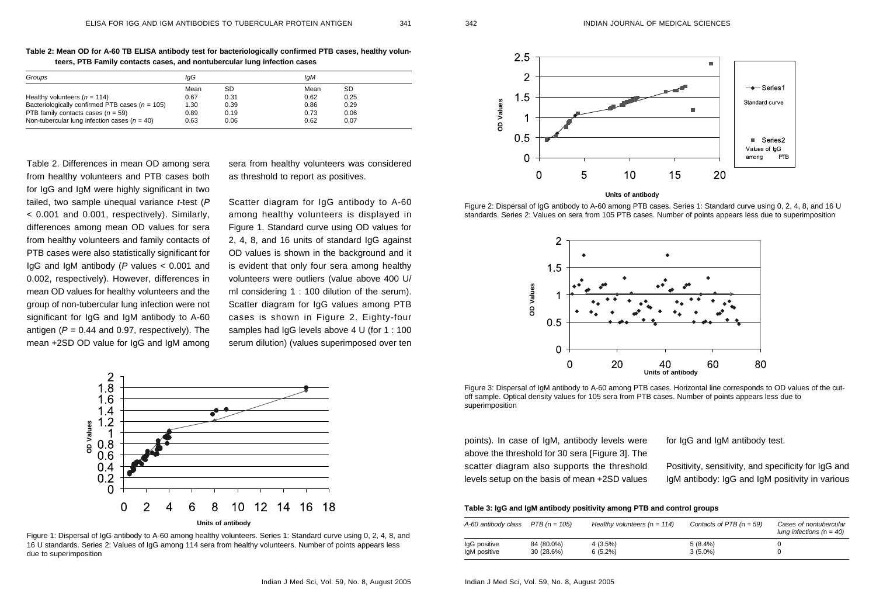341 342

| Table 2: Mean OD for A-60 TB ELISA antibody test for bacteriologically confirmed PTB cases, healthy volun- |  |
|------------------------------------------------------------------------------------------------------------|--|
| teers, PTB Family contacts cases, and nontubercular lung infection cases                                   |  |

| Groups                                            | lqG  |      | lqM  |      |  |
|---------------------------------------------------|------|------|------|------|--|
|                                                   | Mean | SD   | Mean | SD   |  |
| Healthy volunteers $(n = 114)$                    | 0.67 | 0.31 | 0.62 | 0.25 |  |
| Bacteriologically confirmed PTB cases $(n = 105)$ | 1.30 | 0.39 | 0.86 | 0.29 |  |
| PTB family contacts cases $(n = 59)$              | 0.89 | 0.19 | 0.73 | 0.06 |  |
| Non-tubercular lung infection cases ( $n = 40$ )  | 0.63 | 0.06 | 0.62 | 0.07 |  |

Table 2. Differences in mean OD among sera from healthy volunteers and PTB cases both for IgG and IgM were highly significant in two tailed, two sample unequal variance *t*-test (P < 0.001 and 0.001, respectively). Similarly, differences among mean OD values for sera from healthy volunteers and family contacts of PTB cases were also statistically significant for IgG and IgM antibody ( P values < 0.001 and 0.002, respectively). However, differences in mean OD values for healthy volunteers and the group of non-tubercular lung infection were not significant for IgG and IgM antibody to A-60 antigen ( $P$  = 0.44 and 0.97, respectively). The mean +2SD OD value for IgG and IgM among sera from healthy volunteers was considered as threshold to report as positives.

Scatter diagram for IgG antibody to A-60 among healthy volunteers is displayed in Figure 1. Standard curve using OD values for 2, 4, 8, and 16 units of standard IgG against OD values is shown in the background and it is evident that only four sera among healthy volunteers were outliers (value above 400 U/ ml considering 1 : 100 dilution of the serum). Scatter diagram for IgG values among PTB cases is shown in Figure 2. Eighty-four samples had IgG levels above 4 U (for 1 : 100 serum dilution) (values superimposed over ten



Figure 1: Dispersal of IgG antibody to A-60 among healthy volunteers. Series 1: Standard curve using 0, 2, 4, 8, and 16 U standards. Series 2: Values of IgG among 114 sera from healthy volunteers. Number of points appears less due to superimposition



Figure 2: Dispersal of IgG antibody to A-60 among PTB cases. Series 1: Standard curve using 0, 2, 4, 8, and 16 U standards. Series 2: Values on sera from 105 PTB cases. Number of points appears less due to superimposition



Figure 3: Dispersal of IgM antibody to A-60 among PTB cases. Horizontal line corresponds to OD values of the cutoff sample. Optical density values for 105 sera from PTB cases. Number of points appears less due to superimposition

points). In case of IgM, antibody levels were above the threshold for 30 sera [Figure 3]. The scatter diagram also supports the threshold levels setup on the basis of mean +2SD values for IgG and IgM antibody test.

Positivity, sensitivity, and specificity for IgG and IgM antibody: IgG and IgM positivity in various

#### **Table 3: IgG and IgM antibody positivity among PTB and control groups**

| A-60 antibody class $PTB$ (n = 105) |            | Healthy volunteers $(n = 114)$ | Contacts of PTB $(n = 59)$ | Cases of nontubercular<br>lung infections ( $n = 40$ ) |
|-------------------------------------|------------|--------------------------------|----------------------------|--------------------------------------------------------|
| IgG positive                        | 84 (80.0%) | $4(3.5\%)$                     | $5(8.4\%)$                 |                                                        |
| IgM positive                        | 30 (28.6%) | $6(5.2\%)$                     | $3(5.0\%)$                 |                                                        |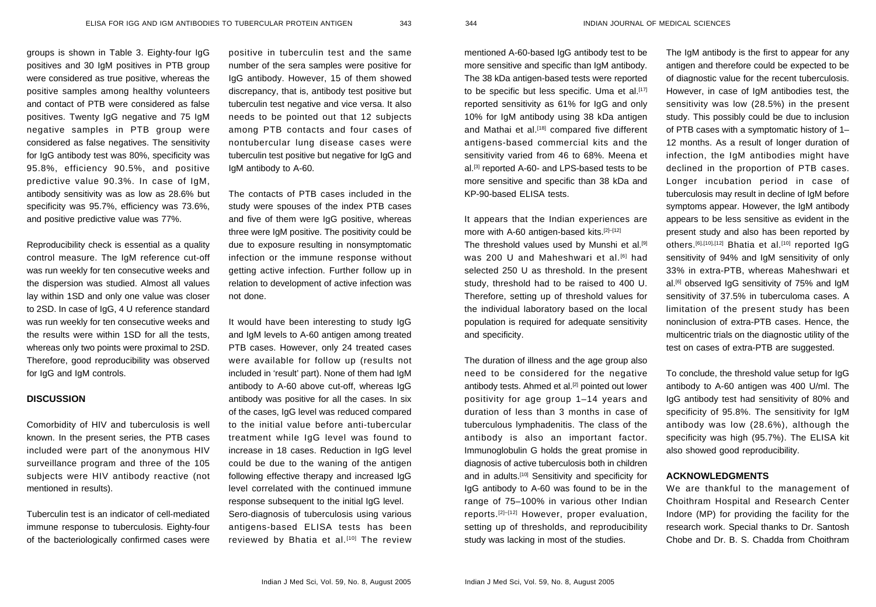groups is shown in Table 3. Eighty-four IgG positives and 30 IgM positives in PTB group were considered as true positive, whereas the positive samples among healthy volunteers and contact of PTB were considered as false positives. Twenty IgG negative and 75 IgM negative samples in PTB group were considered as false negatives. The sensitivity for IgG antibody test was 80%, specificity was 95.8%, efficiency 90.5%, and positive predictive value 90.3%. In case of IgM, antibody sensitivity was as low as 28.6% but specificity was 95.7%, efficiency was 73.6%, and positive predictive value was 77%.

Reproducibility check is essential as a quality control measure. The IgM reference cut-off was run weekly for ten consecutive weeks and the dispersion was studied. Almost all values lay within 1SD and only one value was closer to 2SD. In case of IgG, 4 U reference standard was run weekly for ten consecutive weeks and the results were within 1SD for all the tests, whereas only two points were proximal to 2SD. Therefore, good reproducibility was observed for IgG and IgM controls.

#### **DISCUSSION**

Comorbidity of HIV and tuberculosis is well known. In the present series, the PTB cases included were part of the anonymous HIV surveillance program and three of the 105 subjects were HIV antibody reactive (not mentioned in results).

Tuberculin test is an indicator of cell-mediated immune response to tuberculosis. Eighty-four of the bacteriologically confirmed cases were positive in tuberculin test and the same number of the sera samples were positive for IgG antibody. However, 15 of them showed discrepancy, that is, antibody test positive but tuberculin test negative and vice versa. It also needs to be pointed out that 12 subjects among PTB contacts and four cases of nontubercular lung disease cases were tuberculin test positive but negative for IgG and IgM antibody to A-60.

The contacts of PTB cases included in the study were spouses of the index PTB cases and five of them were IgG positive, whereas three were IgM positive. The positivity could be due to exposure resulting in nonsymptomatic infection or the immune response without getting active infection. Further follow up in relation to development of active infection was not done.

It would have been interesting to study IgG and IgM levels to A-60 antigen among treated PTB cases. However, only 24 treated cases were available for follow up (results not included in 'result' part). None of them had IgM antibody to A-60 above cut-off, whereas IgG antibody was positive for all the cases. In six of the cases, IgG level was reduced compared to the initial value before anti-tubercular treatment while IgG level was found to increase in 18 cases. Reduction in IgG level could be due to the waning of the antigen following effective therapy and increased IgG level correlated with the continued immune response subsequent to the initial IgG level. Sero-diagnosis of tuberculosis using various antigens-based ELISA tests has been reviewed by Bhatia et al.<sup>[10]</sup> The review

mentioned A-60-based IgG antibody test to be more sensitive and specific than IgM antibody. The 38 kDa antigen-based tests were reported to be specific but less specific. Uma et al.<sup>[17]</sup> reported sensitivity as 61% for IgG and only 10% for IgM antibody using 38 kDa antigen and Mathai et al.<sup>[18]</sup> compared five different antigens-based commercial kits and the sensitivity varied from 46 to 68%. Meena et al.[3] reported A-60- and LPS-based tests to be more sensitive and specific than 38 kDa and KP-90-based ELISA tests.

It appears that the Indian experiences are more with A-60 antigen-based kits. $[2]-[12]$ 

The threshold values used by Munshi et al.[9] was 200 U and Maheshwari et al.<sup>[6]</sup> had selected 250 U as threshold. In the present study, threshold had to be raised to 400 U. Therefore, setting up of threshold values for the individual laboratory based on the local population is required for adequate sensitivity and specificity.

The duration of illness and the age group also need to be considered for the negative antibody tests. Ahmed et al.<sup>[2]</sup> pointed out lower positivity for age group 1–14 years and duration of less than 3 months in case of tuberculous lymphadenitis. The class of the antibody is also an important factor. Immunoglobulin G holds the great promise in diagnosis of active tuberculosis both in children and in adults.<sup>[10]</sup> Sensitivity and specificity for IgG antibody to A-60 was found to be in the range of 75–100% in various other Indian reports.[2]–[12] However, proper evaluation, setting up of thresholds, and reproducibility study was lacking in most of the studies.

The IgM antibody is the first to appear for any antigen and therefore could be expected to be of diagnostic value for the recent tuberculosis. However, in case of IgM antibodies test, the sensitivity was low (28.5%) in the present study. This possibly could be due to inclusion of PTB cases with a symptomatic history of 1– 12 months. As a result of longer duration of infection, the IgM antibodies might have declined in the proportion of PTB cases. Longer incubation period in case of tuberculosis may result in decline of IgM before symptoms appear. However, the IgM antibody appears to be less sensitive as evident in the present study and also has been reported by others.<sup>[6],[10],[12]</sup> Bhatia et al.<sup>[10]</sup> reported IqG sensitivity of 94% and IgM sensitivity of only 33% in extra-PTB, whereas Maheshwari et al.<sup>[6]</sup> observed IgG sensitivity of 75% and IgM sensitivity of 37.5% in tuberculoma cases. A limitation of the present study has been noninclusion of extra-PTB cases. Hence, the multicentric trials on the diagnostic utility of the test on cases of extra-PTB are suggested.

To conclude, the threshold value setup for IgG antibody to A-60 antigen was 400 U/ml. The IgG antibody test had sensitivity of 80% and specificity of 95.8%. The sensitivity for IgM antibody was low (28.6%), although the specificity was high (95.7%). The ELISA kit also showed good reproducibility.

## **ACKNOWLEDGMENTS**

We are thankful to the management of Choithram Hospital and Research Center Indore (MP) for providing the facility for the research work. Special thanks to Dr. Santosh Chobe and Dr. B. S. Chadda from Choithram